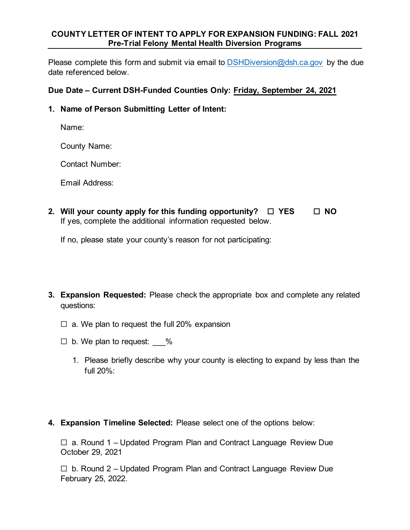## **COUNTY LETTER OF INTENT TO APPLY FOR EXPANSION FUNDING: FALL 2021 Pre-Trial Felony Mental Health Diversion Programs**

Please complete this form and submit via email to <u>DSHDiversion@dsh.ca.gov</u> by the due date referenced below.

## **Due Date – Current DSH-Funded Counties Only: Friday, September 24, 2021**

**1. Name of Person Submitting Letter of Intent:**

Name:

County Name:

Contact Number:

Email Address:

**2. Will your county apply for this funding opportunity?** ☐ **YES** ☐ **NO** If yes, complete the additional information requested below.

If no, please state your county's reason for not participating:

- **3. Expansion Requested:** Please check the appropriate box and complete any related questions:
	- $\Box$  a. We plan to request the full 20% expansion
	- $\Box$  b. We plan to request: %
		- 1. Please briefly describe why your county is electing to expand by less than the full 20%:
- **4. Expansion Timeline Selected:** Please select one of the options below:

 $\Box$  a. Round 1 – Updated Program Plan and Contract Language Review Due October 29, 2021

 $\Box$  b. Round 2 – Updated Program Plan and Contract Language Review Due February 25, 2022.